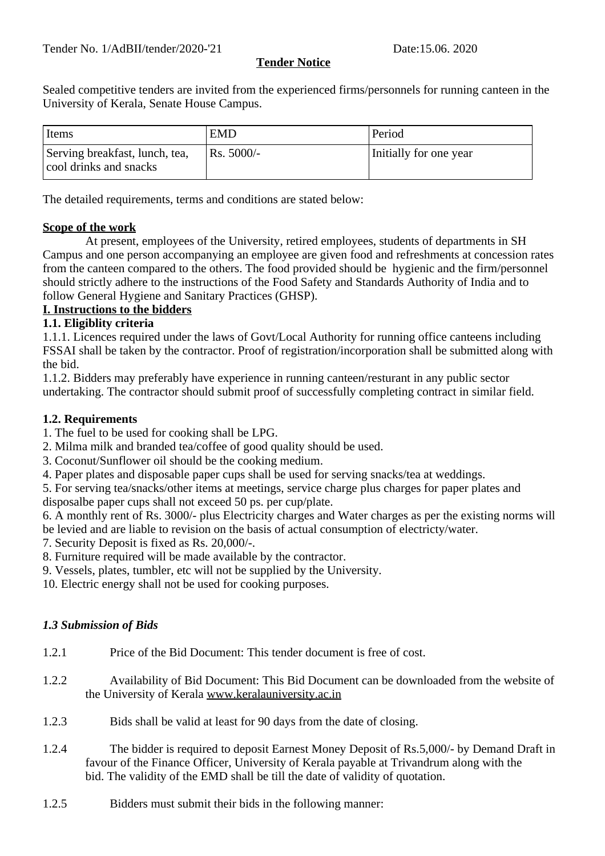### **Tender Notice**

Sealed competitive tenders are invited from the experienced firms/personnels for running canteen in the University of Kerala, Senate House Campus.

| Items                                                    | <b>EMD</b> | Period                 |
|----------------------------------------------------------|------------|------------------------|
| Serving breakfast, lunch, tea,<br>cool drinks and snacks | Rs. 5000/- | Initially for one year |

The detailed requirements, terms and conditions are stated below:

#### **Scope of the work**

 At present, employees of the University, retired employees, students of departments in SH Campus and one person accompanying an employee are given food and refreshments at concession rates from the canteen compared to the others. The food provided should be hygienic and the firm/personnel should strictly adhere to the instructions of the Food Safety and Standards Authority of India and to follow General Hygiene and Sanitary Practices (GHSP).

### **I. Instructions to the bidders**

#### **1.1. Eligiblity criteria**

1.1.1. Licences required under the laws of Govt/Local Authority for running office canteens including FSSAI shall be taken by the contractor. Proof of registration/incorporation shall be submitted along with the bid.

1.1.2. Bidders may preferably have experience in running canteen/resturant in any public sector undertaking. The contractor should submit proof of successfully completing contract in similar field.

#### **1.2. Requirements**

- 1. The fuel to be used for cooking shall be LPG.
- 2. Milma milk and branded tea/coffee of good quality should be used.
- 3. Coconut/Sunflower oil should be the cooking medium.
- 4. Paper plates and disposable paper cups shall be used for serving snacks/tea at weddings.
- 5. For serving tea/snacks/other items at meetings, service charge plus charges for paper plates and disposalbe paper cups shall not exceed 50 ps. per cup/plate.

6. A monthly rent of Rs. 3000/- plus Electricity charges and Water charges as per the existing norms will be levied and are liable to revision on the basis of actual consumption of electricty/water.

7. Security Deposit is fixed as Rs. 20,000/-.

- 8. Furniture required will be made available by the contractor.
- 9. Vessels, plates, tumbler, etc will not be supplied by the University.

10. Electric energy shall not be used for cooking purposes.

#### *1.3 Submission of Bids*

- 1.2.1 Price of the Bid Document: This tender document is free of cost.
- 1.2.2 Availability of Bid Document: This Bid Document can be downloaded from the website of the University of Kerala www.keralauniversity.ac.in
- 1.2.3 Bids shall be valid at least for 90 days from the date of closing.
- 1.2.4 The bidder is required to deposit Earnest Money Deposit of Rs.5,000/- by Demand Draft in favour of the Finance Officer, University of Kerala payable at Trivandrum along with the bid. The validity of the EMD shall be till the date of validity of quotation.
- 1.2.5 Bidders must submit their bids in the following manner: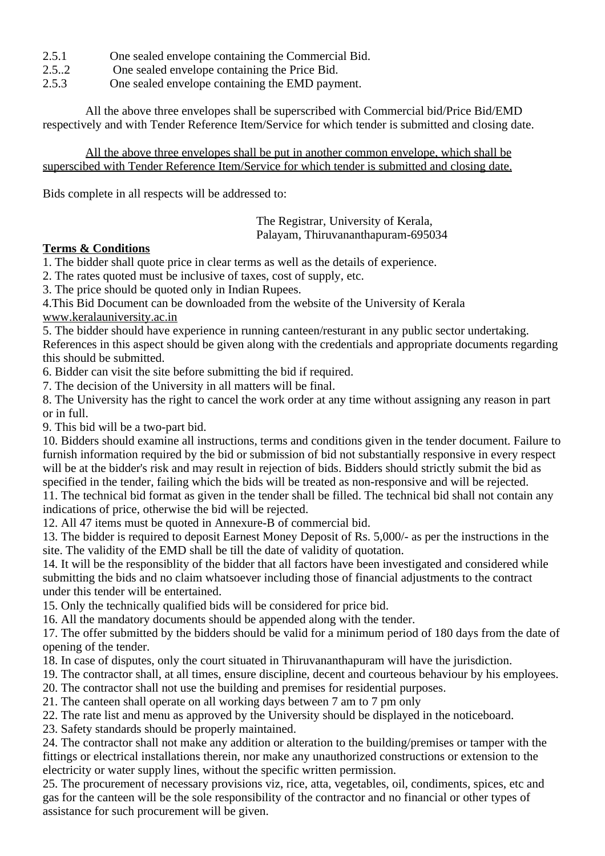- 2.5.1 One sealed envelope containing the Commercial Bid.
- 2.5..2 One sealed envelope containing the Price Bid.
- 2.5.3 One sealed envelope containing the EMD payment.

 All the above three envelopes shall be superscribed with Commercial bid/Price Bid/EMD respectively and with Tender Reference Item/Service for which tender is submitted and closing date.

All the above three envelopes shall be put in another common envelope, which shall be superscibed with Tender Reference Item/Service for which tender is submitted and closing date.

Bids complete in all respects will be addressed to:

 The Registrar, University of Kerala, Palayam, Thiruvananthapuram-695034

#### **Terms & Conditions**

1. The bidder shall quote price in clear terms as well as the details of experience.

2. The rates quoted must be inclusive of taxes, cost of supply, etc.

3. The price should be quoted only in Indian Rupees.

4.This Bid Document can be downloaded from the website of the University of Kerala www.keralauniversity.ac.in

5. The bidder should have experience in running canteen/resturant in any public sector undertaking. References in this aspect should be given along with the credentials and appropriate documents regarding this should be submitted.

6. Bidder can visit the site before submitting the bid if required.

7. The decision of the University in all matters will be final.

8. The University has the right to cancel the work order at any time without assigning any reason in part or in full.

9. This bid will be a two-part bid.

10. Bidders should examine all instructions, terms and conditions given in the tender document. Failure to furnish information required by the bid or submission of bid not substantially responsive in every respect will be at the bidder's risk and may result in rejection of bids. Bidders should strictly submit the bid as specified in the tender, failing which the bids will be treated as non-responsive and will be rejected. 11. The technical bid format as given in the tender shall be filled. The technical bid shall not contain any

indications of price, otherwise the bid will be rejected.

12. All 47 items must be quoted in Annexure-B of commercial bid.

13. The bidder is required to deposit Earnest Money Deposit of Rs. 5,000/- as per the instructions in the site. The validity of the EMD shall be till the date of validity of quotation.

14. It will be the responsiblity of the bidder that all factors have been investigated and considered while submitting the bids and no claim whatsoever including those of financial adjustments to the contract under this tender will be entertained.

15. Only the technically qualified bids will be considered for price bid.

16. All the mandatory documents should be appended along with the tender.

17. The offer submitted by the bidders should be valid for a minimum period of 180 days from the date of opening of the tender.

18. In case of disputes, only the court situated in Thiruvananthapuram will have the jurisdiction.

19. The contractor shall, at all times, ensure discipline, decent and courteous behaviour by his employees.

20. The contractor shall not use the building and premises for residential purposes.

21. The canteen shall operate on all working days between 7 am to 7 pm only

22. The rate list and menu as approved by the University should be displayed in the noticeboard.

23. Safety standards should be properly maintained.

24. The contractor shall not make any addition or alteration to the building/premises or tamper with the fittings or electrical installations therein, nor make any unauthorized constructions or extension to the electricity or water supply lines, without the specific written permission.

25. The procurement of necessary provisions viz, rice, atta, vegetables, oil, condiments, spices, etc and gas for the canteen will be the sole responsibility of the contractor and no financial or other types of assistance for such procurement will be given.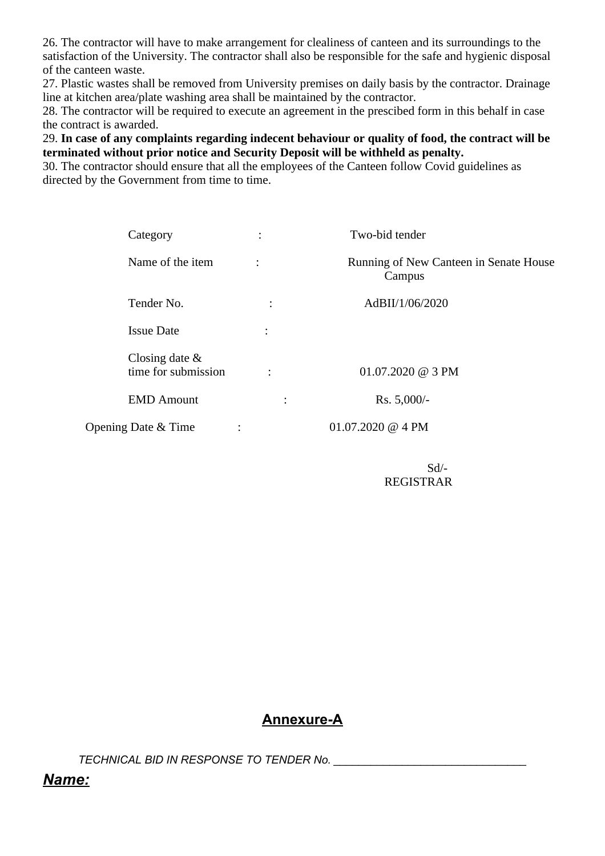26. The contractor will have to make arrangement for clealiness of canteen and its surroundings to the satisfaction of the University. The contractor shall also be responsible for the safe and hygienic disposal of the canteen waste.

27. Plastic wastes shall be removed from University premises on daily basis by the contractor. Drainage line at kitchen area/plate washing area shall be maintained by the contractor.

28. The contractor will be required to execute an agreement in the prescibed form in this behalf in case the contract is awarded.

29. **In case of any complaints regarding indecent behaviour or quality of food, the contract will be terminated without prior notice and Security Deposit will be withheld as penalty.**

30. The contractor should ensure that all the employees of the Canteen follow Covid guidelines as directed by the Government from time to time.

| Category                              | $\ddot{\cdot}$       | Two-bid tender                                   |
|---------------------------------------|----------------------|--------------------------------------------------|
| Name of the item                      |                      | Running of New Canteen in Senate House<br>Campus |
| Tender No.                            | $\bullet$<br>$\cdot$ | AdBII/1/06/2020                                  |
| <b>Issue Date</b>                     | $\ddot{\cdot}$       |                                                  |
| Closing date &<br>time for submission | $\ddot{\cdot}$       | 01.07.2020 @ 3 PM                                |
| <b>EMD Amount</b>                     | $\ddot{\cdot}$       | Rs. 5,000/-                                      |
| Opening Date & Time                   | $\vdots$             | 01.07.2020 @ 4 PM                                |

 Sd/- REGISTRAR

### **Annexure-A**

*TECHNICAL BID IN RESPONSE TO TENDER No. \_\_\_\_\_\_\_\_\_\_\_\_\_\_\_\_\_\_\_\_\_\_\_\_\_\_\_\_\_\_\_*

### *Name:*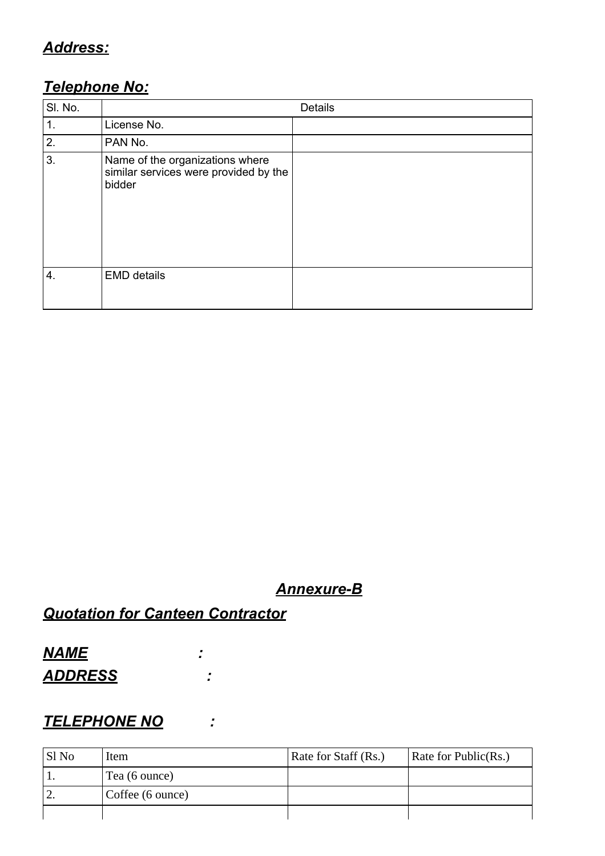## *Address:*

## *Telephone No:*

| SI. No.        |                                                                                    | Details |
|----------------|------------------------------------------------------------------------------------|---------|
| $\mathbf{1}$ . | License No.                                                                        |         |
| 2.             | PAN No.                                                                            |         |
| 3.             | Name of the organizations where<br>similar services were provided by the<br>bidder |         |
| 4.             | <b>EMD details</b>                                                                 |         |

### *Annexure-B*

# *Quotation for Canteen Contractor*

# *NAME : ADDRESS :*

### *TELEPHONE NO :*

| Sl No     | Item             | Rate for Staff (Rs.) | Rate for Public(Rs.) |
|-----------|------------------|----------------------|----------------------|
|           | Tea (6 ounce)    |                      |                      |
| <u>∠.</u> | Coffee (6 ounce) |                      |                      |
|           |                  |                      |                      |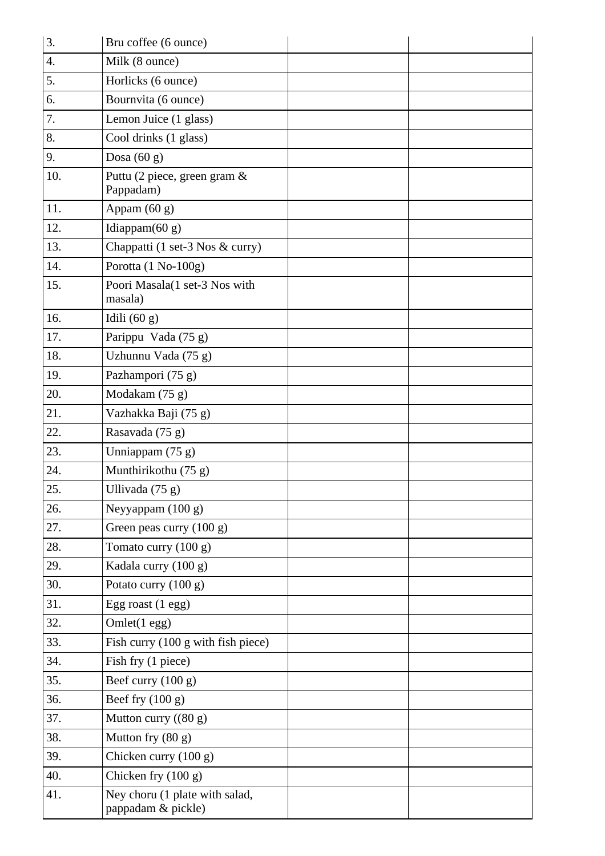| 3.  | Bru coffee (6 ounce)                                 |  |
|-----|------------------------------------------------------|--|
| 4.  | Milk (8 ounce)                                       |  |
| 5.  | Horlicks (6 ounce)                                   |  |
| 6.  | Bournvita (6 ounce)                                  |  |
| 7.  | Lemon Juice (1 glass)                                |  |
| 8.  | Cool drinks (1 glass)                                |  |
| 9.  | Dosa $(60 g)$                                        |  |
| 10. | Puttu (2 piece, green gram &<br>Pappadam)            |  |
| 11. | Appam (60 g)                                         |  |
| 12. | Idiappam $(60 g)$                                    |  |
| 13. | Chappatti (1 set-3 Nos & curry)                      |  |
| 14. | Porotta (1 No-100g)                                  |  |
| 15. | Poori Masala(1 set-3 Nos with<br>masala)             |  |
| 16. | Idili $(60 g)$                                       |  |
| 17. | Parippu Vada (75 g)                                  |  |
| 18. | Uzhunnu Vada (75 g)                                  |  |
| 19. | Pazhampori (75 g)                                    |  |
| 20. | Modakam (75 g)                                       |  |
| 21. | Vazhakka Baji (75 g)                                 |  |
| 22. | Rasavada (75 g)                                      |  |
| 23. | Unniappam (75 g)                                     |  |
| 24. | Munthirikothu (75 g)                                 |  |
| 25. | Ullivada (75 g)                                      |  |
| 26. | Neyyappam (100 g)                                    |  |
| 27. | Green peas curry (100 g)                             |  |
| 28. | Tomato curry (100 g)                                 |  |
| 29. | Kadala curry (100 g)                                 |  |
| 30. | Potato curry (100 g)                                 |  |
| 31. | Egg roast (1 egg)                                    |  |
| 32. | Omlet(1 egg)                                         |  |
| 33. | Fish curry (100 g with fish piece)                   |  |
| 34. | Fish fry (1 piece)                                   |  |
| 35. | Beef curry (100 g)                                   |  |
| 36. | Beef fry $(100 g)$                                   |  |
| 37. | Mutton curry ((80 g)                                 |  |
| 38. | Mutton fry (80 g)                                    |  |
| 39. | Chicken curry (100 g)                                |  |
| 40. | Chicken fry (100 g)                                  |  |
| 41. | Ney choru (1 plate with salad,<br>pappadam & pickle) |  |